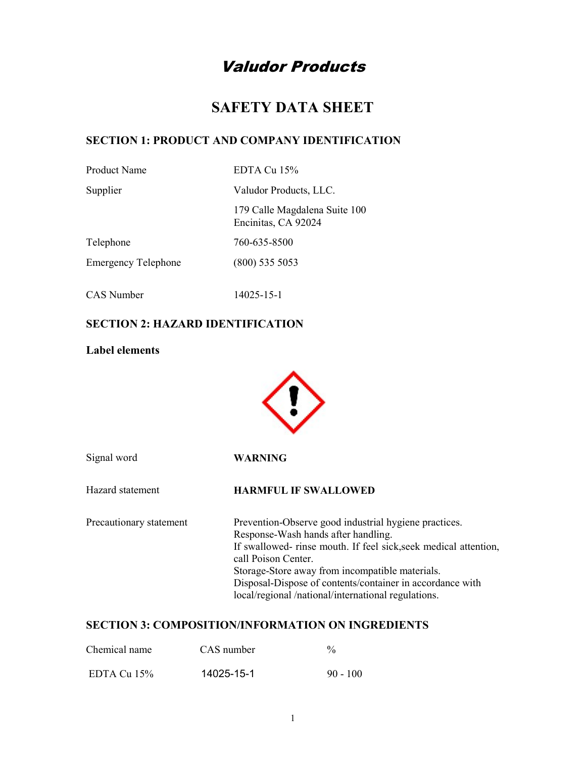# Valudor Products

# SAFETY DATA SHEET

#### SECTION 1: PRODUCT AND COMPANY IDENTIFICATION

EDTA Cu 15%

Supplier Valudor Products, LLC.

 179 Calle Magdalena Suite 100 Encinitas, CA 92024

Telephone 760-635-8500

Emergency Telephone (800) 535 5053

CAS Number 14025-15-1

## SECTION 2: HAZARD IDENTIFICATION

#### Label elements



| Signal word             | WARNING                                                                                                                                                                                                                                                                                                                                                       |
|-------------------------|---------------------------------------------------------------------------------------------------------------------------------------------------------------------------------------------------------------------------------------------------------------------------------------------------------------------------------------------------------------|
| Hazard statement        | <b>HARMFUL IF SWALLOWED</b>                                                                                                                                                                                                                                                                                                                                   |
| Precautionary statement | Prevention-Observe good industrial hygiene practices.<br>Response-Wash hands after handling.<br>If swallowed- rinse mouth. If feel sick, seek medical attention,<br>call Poison Center.<br>Storage-Store away from incompatible materials.<br>Disposal-Dispose of contents/container in accordance with<br>local/regional/national/international regulations. |

#### SECTION 3: COMPOSITION/INFORMATION ON INGREDIENTS

| Chemical name  | CAS number | $\frac{0}{0}$ |
|----------------|------------|---------------|
| EDTA Cu $15\%$ | 14025-15-1 | $90 - 100$    |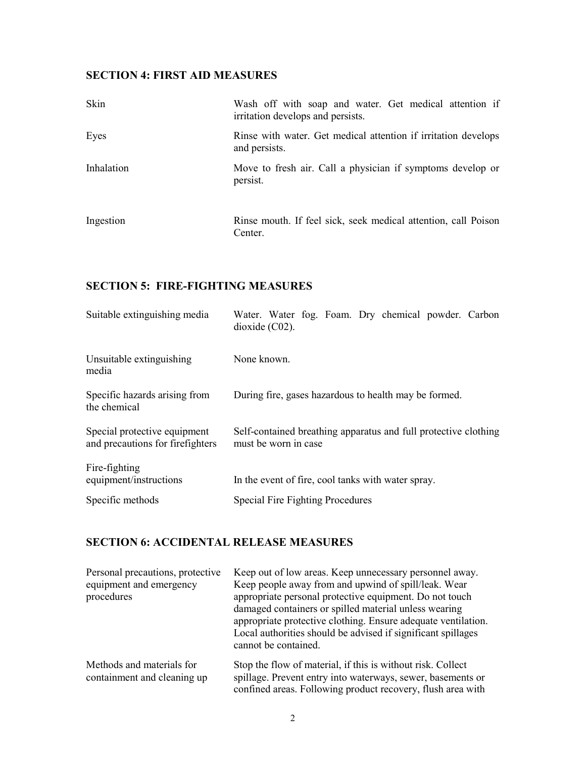#### SECTION 4: FIRST AID MEASURES

| Skin       | Wash off with soap and water. Get medical attention if<br>irritation develops and persists. |  |  |
|------------|---------------------------------------------------------------------------------------------|--|--|
| Eyes       | Rinse with water. Get medical attention if irritation develops<br>and persists.             |  |  |
| Inhalation | Move to fresh air. Call a physician if symptoms develop or<br>persist.                      |  |  |
| Ingestion  | Rinse mouth. If feel sick, seek medical attention, call Poison<br>Center.                   |  |  |

# SECTION 5: FIRE-FIGHTING MEASURES

| Suitable extinguishing media                                     | Water. Water fog. Foam. Dry chemical powder. Carbon<br>dioxide $(C02)$ .                |
|------------------------------------------------------------------|-----------------------------------------------------------------------------------------|
| Unsuitable extinguishing<br>media                                | None known.                                                                             |
| Specific hazards arising from<br>the chemical                    | During fire, gases hazardous to health may be formed.                                   |
| Special protective equipment<br>and precautions for firefighters | Self-contained breathing apparatus and full protective clothing<br>must be worn in case |
| Fire-fighting<br>equipment/instructions                          | In the event of fire, cool tanks with water spray.                                      |
| Specific methods                                                 | Special Fire Fighting Procedures                                                        |

## SECTION 6: ACCIDENTAL RELEASE MEASURES

| Personal precautions, protective<br>equipment and emergency<br>procedures | Keep out of low areas. Keep unnecessary personnel away.<br>Keep people away from and upwind of spill/leak. Wear<br>appropriate personal protective equipment. Do not touch<br>damaged containers or spilled material unless wearing<br>appropriate protective clothing. Ensure adequate ventilation.<br>Local authorities should be advised if significant spillages<br>cannot be contained. |
|---------------------------------------------------------------------------|----------------------------------------------------------------------------------------------------------------------------------------------------------------------------------------------------------------------------------------------------------------------------------------------------------------------------------------------------------------------------------------------|
| Methods and materials for<br>containment and cleaning up                  | Stop the flow of material, if this is without risk. Collect<br>spillage. Prevent entry into waterways, sewer, basements or<br>confined areas. Following product recovery, flush area with                                                                                                                                                                                                    |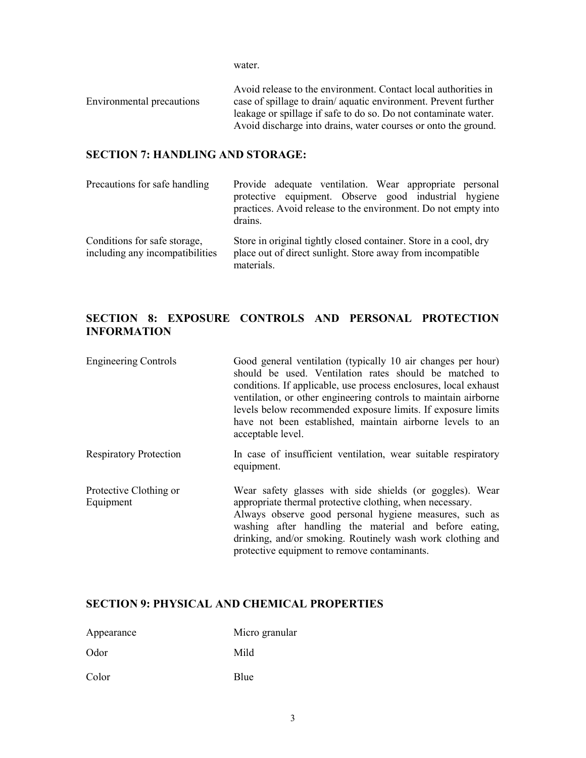water.

Environmental precautions Avoid release to the environment. Contact local authorities in case of spillage to drain/ aquatic environment. Prevent further leakage or spillage if safe to do so. Do not contaminate water. Avoid discharge into drains, water courses or onto the ground.

#### SECTION 7: HANDLING AND STORAGE:

| Precautions for safe handling                                   | Provide adequate ventilation. Wear appropriate personal<br>protective equipment. Observe good industrial hygiene<br>practices. Avoid release to the environment. Do not empty into<br>drains. |
|-----------------------------------------------------------------|-----------------------------------------------------------------------------------------------------------------------------------------------------------------------------------------------|
| Conditions for safe storage,<br>including any incompatibilities | Store in original tightly closed container. Store in a cool, dry<br>place out of direct sunlight. Store away from incompatible<br>materials.                                                  |

### SECTION 8: EXPOSURE CONTROLS AND PERSONAL PROTECTION INFORMATION

| <b>Engineering Controls</b>         | Good general ventilation (typically 10 air changes per hour)<br>should be used. Ventilation rates should be matched to<br>conditions. If applicable, use process enclosures, local exhaust<br>ventilation, or other engineering controls to maintain airborne<br>levels below recommended exposure limits. If exposure limits<br>have not been established, maintain airborne levels to an<br>acceptable level. |
|-------------------------------------|-----------------------------------------------------------------------------------------------------------------------------------------------------------------------------------------------------------------------------------------------------------------------------------------------------------------------------------------------------------------------------------------------------------------|
| <b>Respiratory Protection</b>       | In case of insufficient ventilation, wear suitable respiratory<br>equipment.                                                                                                                                                                                                                                                                                                                                    |
| Protective Clothing or<br>Equipment | Wear safety glasses with side shields (or goggles). Wear<br>appropriate thermal protective clothing, when necessary.<br>Always observe good personal hygiene measures, such as<br>washing after handling the material and before eating,<br>drinking, and/or smoking. Routinely wash work clothing and<br>protective equipment to remove contaminants.                                                          |

#### SECTION 9: PHYSICAL AND CHEMICAL PROPERTIES

| Appearance | Micro granular |
|------------|----------------|
| Odor       | Mild           |
| Color      | Blue           |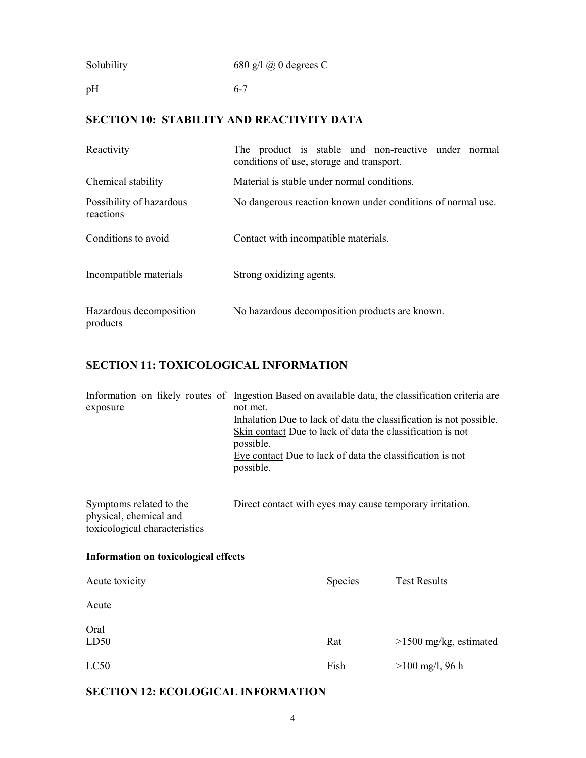| Solubility | 680 g/l $\omega$ 0 degrees C |
|------------|------------------------------|
|------------|------------------------------|

pH

## SECTION 10: STABILITY AND REACTIVITY DATA

6-7

| Reactivity                            | The product is stable and non-reactive under normal<br>conditions of use, storage and transport. |  |  |  |
|---------------------------------------|--------------------------------------------------------------------------------------------------|--|--|--|
| Chemical stability                    | Material is stable under normal conditions.                                                      |  |  |  |
| Possibility of hazardous<br>reactions | No dangerous reaction known under conditions of normal use.                                      |  |  |  |
| Conditions to avoid                   | Contact with incompatible materials.                                                             |  |  |  |
| Incompatible materials                | Strong oxidizing agents.                                                                         |  |  |  |
| Hazardous decomposition<br>products   | No hazardous decomposition products are known.                                                   |  |  |  |

# SECTION 11: TOXICOLOGICAL INFORMATION

| exposure                                                                           | Information on likely routes of Ingestion Based on available data, the classification criteria are<br>not met.<br>Inhalation Due to lack of data the classification is not possible.<br>Skin contact Due to lack of data the classification is not<br>possible.<br>Eye contact Due to lack of data the classification is not<br>possible. |         |                          |
|------------------------------------------------------------------------------------|-------------------------------------------------------------------------------------------------------------------------------------------------------------------------------------------------------------------------------------------------------------------------------------------------------------------------------------------|---------|--------------------------|
| Symptoms related to the<br>physical, chemical and<br>toxicological characteristics | Direct contact with eyes may cause temporary irritation.                                                                                                                                                                                                                                                                                  |         |                          |
| Information on toxicological effects                                               |                                                                                                                                                                                                                                                                                                                                           |         |                          |
| Acute toxicity                                                                     |                                                                                                                                                                                                                                                                                                                                           | Species | <b>Test Results</b>      |
| <u>Acute</u>                                                                       |                                                                                                                                                                                                                                                                                                                                           |         |                          |
| Oral<br>LD50                                                                       |                                                                                                                                                                                                                                                                                                                                           | Rat     | $>1500$ mg/kg, estimated |
| LC50                                                                               |                                                                                                                                                                                                                                                                                                                                           | Fish    | $>100$ mg/l, 96 h        |

# SECTION 12: ECOLOGICAL INFORMATION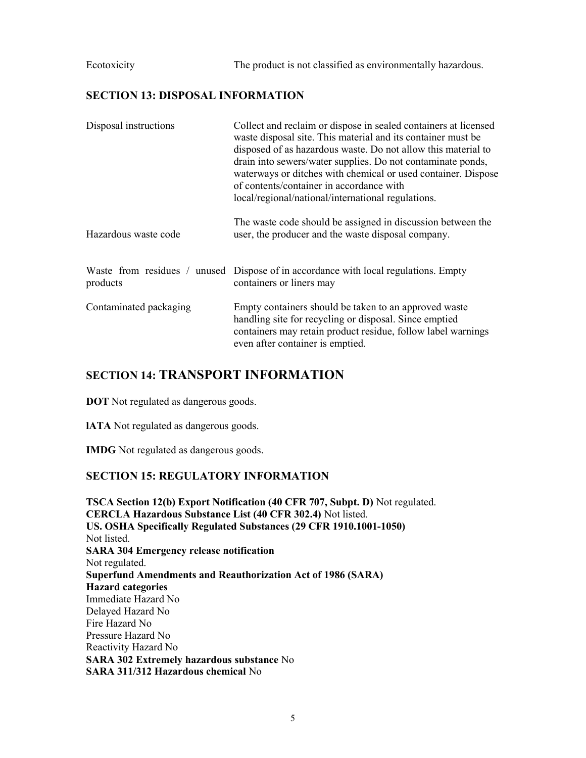Ecotoxicity The product is not classified as environmentally hazardous.

#### SECTION 13: DISPOSAL INFORMATION

| Disposal instructions  | Collect and reclaim or dispose in sealed containers at licensed<br>waste disposal site. This material and its container must be<br>disposed of as hazardous waste. Do not allow this material to<br>drain into sewers/water supplies. Do not contaminate ponds,<br>waterways or ditches with chemical or used container. Dispose<br>of contents/container in accordance with<br>local/regional/national/international regulations. |
|------------------------|------------------------------------------------------------------------------------------------------------------------------------------------------------------------------------------------------------------------------------------------------------------------------------------------------------------------------------------------------------------------------------------------------------------------------------|
| Hazardous waste code   | The waste code should be assigned in discussion between the<br>user, the producer and the waste disposal company.                                                                                                                                                                                                                                                                                                                  |
| products               | Waste from residues / unused Dispose of in accordance with local regulations. Empty<br>containers or liners may                                                                                                                                                                                                                                                                                                                    |
| Contaminated packaging | Empty containers should be taken to an approved waste<br>handling site for recycling or disposal. Since emptied<br>containers may retain product residue, follow label warnings<br>even after container is emptied.                                                                                                                                                                                                                |

#### SECTION 14: TRANSPORT INFORMATION

DOT Not regulated as dangerous goods.

lATA Not regulated as dangerous goods.

IMDG Not regulated as dangerous goods.

#### SECTION 15: REGULATORY INFORMATION

TSCA Section 12(b) Export Notification (40 CFR 707, Subpt. D) Not regulated. CERCLA Hazardous Substance List (40 CFR 302.4) Not listed. US. OSHA Specifically Regulated Substances (29 CFR 1910.1001-1050) Not listed. SARA 304 Emergency release notification Not regulated. Superfund Amendments and Reauthorization Act of 1986 (SARA) Hazard categories Immediate Hazard No Delayed Hazard No Fire Hazard No Pressure Hazard No Reactivity Hazard No SARA 302 Extremely hazardous substance No SARA 311/312 Hazardous chemical No